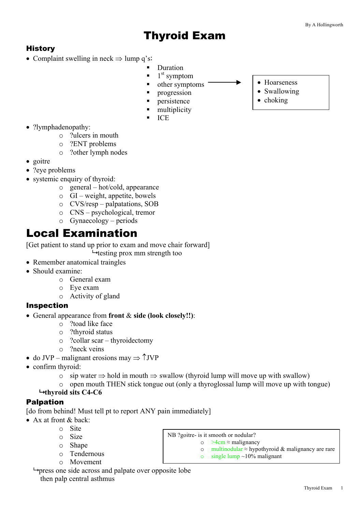## Thyroid Exam

## **History**

- Complaint swelling in neck  $\Rightarrow$  lump q's:
	- § Duration
	- $\blacksquare$  1<sup>st</sup> symptom
	- other symptoms
	- **•** progression
	- § persistence
	- § multiplicity
	- § ICE
- ?lymphadenopathy:
	- o ?ulcers in mouth
	- o ?ENT problems
	- o ?other lymph nodes
- goitre
- ?eve problems
- systemic enquiry of thyroid:
	- o general hot/cold, appearance
	- o GI weight, appetite, bowels
	- o CVS/resp palpatations, SOB
	- o CNS psychological, tremor
	- o Gynaecology periods

## Local Examination

[Get patient to stand up prior to exam and move chair forward]  $\rightarrow$  testing prox mm strength too

- Remember anatomical traingles
- Should examine:
	- o General exam
	- o Eye exam
	- o Activity of gland

#### Inspection

- General appearance from **front** & **side (look closely!!)**:
	- o ?toad like face
	- o ?thyroid status
	- o ?collar scar thyroidectomy
	- o ?neck veins
- do JVP malignant erosions may  $\Rightarrow$   $\uparrow$  JVP
- confirm thyroid:
	- $\circ$  sip water  $\Rightarrow$  hold in mouth  $\Rightarrow$  swallow (thyroid lump will move up with swallow)
	- o open mouth THEN stick tongue out (only a thyroglossal lump will move up with tongue)

NB ?goitre- is it smooth or nodular?

o >4cm ≈ malignancy

 $\circ$  single lump ~10% malignant

o multinodular ≈ hypothyroid & malignancy are rare

#### $\rightarrow$  **thyroid sits C4-C6**

## Palpation

[do from behind! Must tell pt to report ANY pain immediately]

- Ax at front & back:
	- o Site
	- o Size
	- o Shape
	- o Tendernous
	- o Movement

 $\rightarrow$  press one side across and palpate over opposite lobe then palp central asthmus

- Hoarseness
- Swallowing
- choking

Thyroid Exam 1